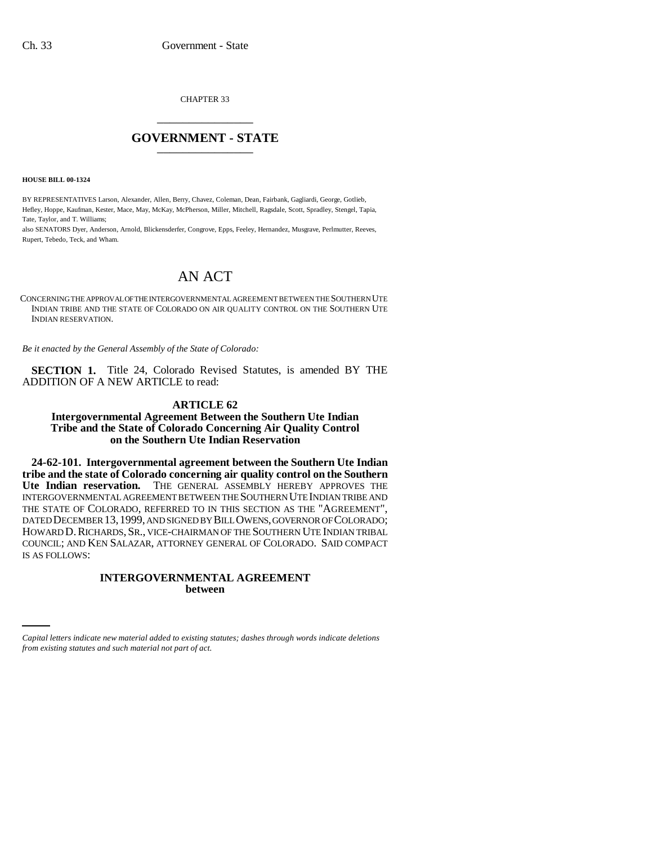CHAPTER 33 \_\_\_\_\_\_\_\_\_\_\_\_\_\_\_

## **GOVERNMENT - STATE** \_\_\_\_\_\_\_\_\_\_\_\_\_\_\_

**HOUSE BILL 00-1324** 

BY REPRESENTATIVES Larson, Alexander, Allen, Berry, Chavez, Coleman, Dean, Fairbank, Gagliardi, George, Gotlieb, Hefley, Hoppe, Kaufman, Kester, Mace, May, McKay, McPherson, Miller, Mitchell, Ragsdale, Scott, Spradley, Stengel, Tapia, Tate, Taylor, and T. Williams;

also SENATORS Dyer, Anderson, Arnold, Blickensderfer, Congrove, Epps, Feeley, Hernandez, Musgrave, Perlmutter, Reeves, Rupert, Tebedo, Teck, and Wham.

# AN ACT

CONCERNING THE APPROVAL OF THE INTERGOVERNMENTAL AGREEMENT BETWEEN THE SOUTHERN UTE INDIAN TRIBE AND THE STATE OF COLORADO ON AIR QUALITY CONTROL ON THE SOUTHERN UTE INDIAN RESERVATION.

*Be it enacted by the General Assembly of the State of Colorado:*

**SECTION 1.** Title 24, Colorado Revised Statutes, is amended BY THE ADDITION OF A NEW ARTICLE to read:

## **ARTICLE 62**

**Intergovernmental Agreement Between the Southern Ute Indian Tribe and the State of Colorado Concerning Air Quality Control on the Southern Ute Indian Reservation**

**24-62-101. Intergovernmental agreement between the Southern Ute Indian tribe and the state of Colorado concerning air quality control on the Southern Ute Indian reservation.** THE GENERAL ASSEMBLY HEREBY APPROVES THE INTERGOVERNMENTAL AGREEMENT BETWEEN THE SOUTHERN UTE INDIAN TRIBE AND THE STATE OF COLORADO, REFERRED TO IN THIS SECTION AS THE "AGREEMENT", DATED DECEMBER 13,1999, AND SIGNED BY BILL OWENS, GOVERNOR OF COLORADO; HOWARD D. RICHARDS, SR., VICE-CHAIRMAN OF THE SOUTHERN UTE INDIAN TRIBAL COUNCIL; AND KEN SALAZAR, ATTORNEY GENERAL OF COLORADO. SAID COMPACT IS AS FOLLOWS:

## **INTERGOVERNMENTAL AGREEMENT between**

*Capital letters indicate new material added to existing statutes; dashes through words indicate deletions from existing statutes and such material not part of act.*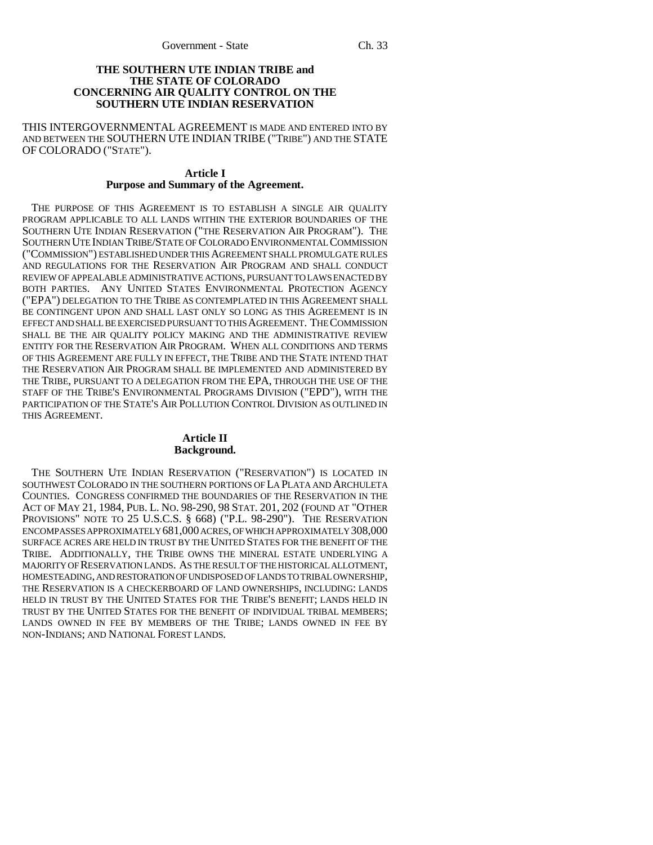### **THE SOUTHERN UTE INDIAN TRIBE and THE STATE OF COLORADO CONCERNING AIR QUALITY CONTROL ON THE SOUTHERN UTE INDIAN RESERVATION**

THIS INTERGOVERNMENTAL AGREEMENT IS MADE AND ENTERED INTO BY AND BETWEEN THE SOUTHERN UTE INDIAN TRIBE ("TRIBE") AND THE STATE OF COLORADO ("STATE").

#### **Article I Purpose and Summary of the Agreement.**

THE PURPOSE OF THIS AGREEMENT IS TO ESTABLISH A SINGLE AIR QUALITY PROGRAM APPLICABLE TO ALL LANDS WITHIN THE EXTERIOR BOUNDARIES OF THE SOUTHERN UTE INDIAN RESERVATION ("THE RESERVATION AIR PROGRAM"). THE SOUTHERN UTE INDIAN TRIBE/STATE OF COLORADO ENVIRONMENTAL COMMISSION ("COMMISSION") ESTABLISHED UNDER THIS AGREEMENT SHALL PROMULGATE RULES AND REGULATIONS FOR THE RESERVATION AIR PROGRAM AND SHALL CONDUCT REVIEW OF APPEALABLE ADMINISTRATIVE ACTIONS, PURSUANT TO LAWS ENACTED BY BOTH PARTIES. ANY UNITED STATES ENVIRONMENTAL PROTECTION AGENCY ("EPA") DELEGATION TO THE TRIBE AS CONTEMPLATED IN THIS AGREEMENT SHALL BE CONTINGENT UPON AND SHALL LAST ONLY SO LONG AS THIS AGREEMENT IS IN EFFECT AND SHALL BE EXERCISED PURSUANT TO THIS AGREEMENT. THE COMMISSION SHALL BE THE AIR QUALITY POLICY MAKING AND THE ADMINISTRATIVE REVIEW ENTITY FOR THE RESERVATION AIR PROGRAM. WHEN ALL CONDITIONS AND TERMS OF THIS AGREEMENT ARE FULLY IN EFFECT, THE TRIBE AND THE STATE INTEND THAT THE RESERVATION AIR PROGRAM SHALL BE IMPLEMENTED AND ADMINISTERED BY THE TRIBE, PURSUANT TO A DELEGATION FROM THE EPA, THROUGH THE USE OF THE STAFF OF THE TRIBE'S ENVIRONMENTAL PROGRAMS DIVISION ("EPD"), WITH THE PARTICIPATION OF THE STATE'S AIR POLLUTION CONTROL DIVISION AS OUTLINED IN THIS AGREEMENT.

## **Article II Background.**

THE SOUTHERN UTE INDIAN RESERVATION ("RESERVATION") IS LOCATED IN SOUTHWEST COLORADO IN THE SOUTHERN PORTIONS OF LA PLATA AND ARCHULETA COUNTIES. CONGRESS CONFIRMED THE BOUNDARIES OF THE RESERVATION IN THE ACT OF MAY 21, 1984, PUB. L. NO. 98-290, 98 STAT. 201, 202 (FOUND AT "OTHER PROVISIONS" NOTE TO 25 U.S.C.S. § 668) ("P.L. 98-290"). THE RESERVATION ENCOMPASSES APPROXIMATELY 681,000 ACRES, OF WHICH APPROXIMATELY 308,000 SURFACE ACRES ARE HELD IN TRUST BY THE UNITED STATES FOR THE BENEFIT OF THE TRIBE. ADDITIONALLY, THE TRIBE OWNS THE MINERAL ESTATE UNDERLYING A MAJORITY OF RESERVATION LANDS. AS THE RESULT OF THE HISTORICAL ALLOTMENT, HOMESTEADING, AND RESTORATION OF UNDISPOSED OF LANDS TO TRIBAL OWNERSHIP, THE RESERVATION IS A CHECKERBOARD OF LAND OWNERSHIPS, INCLUDING: LANDS HELD IN TRUST BY THE UNITED STATES FOR THE TRIBE'S BENEFIT; LANDS HELD IN TRUST BY THE UNITED STATES FOR THE BENEFIT OF INDIVIDUAL TRIBAL MEMBERS; LANDS OWNED IN FEE BY MEMBERS OF THE TRIBE; LANDS OWNED IN FEE BY NON-INDIANS; AND NATIONAL FOREST LANDS.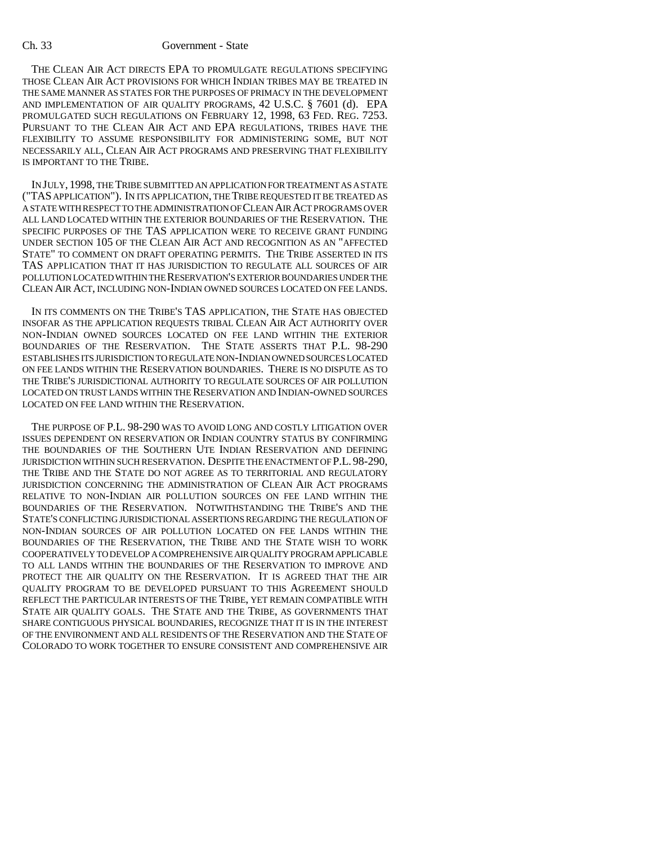THE CLEAN AIR ACT DIRECTS EPA TO PROMULGATE REGULATIONS SPECIFYING THOSE CLEAN AIR ACT PROVISIONS FOR WHICH INDIAN TRIBES MAY BE TREATED IN THE SAME MANNER AS STATES FOR THE PURPOSES OF PRIMACY IN THE DEVELOPMENT AND IMPLEMENTATION OF AIR QUALITY PROGRAMS, 42 U.S.C. § 7601 (d). EPA PROMULGATED SUCH REGULATIONS ON FEBRUARY 12, 1998, 63 FED. REG. 7253. PURSUANT TO THE CLEAN AIR ACT AND EPA REGULATIONS, TRIBES HAVE THE FLEXIBILITY TO ASSUME RESPONSIBILITY FOR ADMINISTERING SOME, BUT NOT NECESSARILY ALL, CLEAN AIR ACT PROGRAMS AND PRESERVING THAT FLEXIBILITY IS IMPORTANT TO THE TRIBE.

IN JULY, 1998, THE TRIBE SUBMITTED AN APPLICATION FOR TREATMENT AS A STATE ("TAS APPLICATION"). IN ITS APPLICATION, THE TRIBE REQUESTED IT BE TREATED AS A STATE WITH RESPECT TO THE ADMINISTRATION OF CLEAN AIR ACT PROGRAMS OVER ALL LAND LOCATED WITHIN THE EXTERIOR BOUNDARIES OF THE RESERVATION. THE SPECIFIC PURPOSES OF THE TAS APPLICATION WERE TO RECEIVE GRANT FUNDING UNDER SECTION 105 OF THE CLEAN AIR ACT AND RECOGNITION AS AN "AFFECTED STATE" TO COMMENT ON DRAFT OPERATING PERMITS. THE TRIBE ASSERTED IN ITS TAS APPLICATION THAT IT HAS JURISDICTION TO REGULATE ALL SOURCES OF AIR POLLUTION LOCATED WITHIN THE RESERVATION'S EXTERIOR BOUNDARIES UNDER THE CLEAN AIR ACT, INCLUDING NON-INDIAN OWNED SOURCES LOCATED ON FEE LANDS.

IN ITS COMMENTS ON THE TRIBE'S TAS APPLICATION, THE STATE HAS OBJECTED INSOFAR AS THE APPLICATION REQUESTS TRIBAL CLEAN AIR ACT AUTHORITY OVER NON-INDIAN OWNED SOURCES LOCATED ON FEE LAND WITHIN THE EXTERIOR BOUNDARIES OF THE RESERVATION. THE STATE ASSERTS THAT P.L. 98-290 ESTABLISHES ITS JURISDICTION TO REGULATE NON-INDIAN OWNED SOURCES LOCATED ON FEE LANDS WITHIN THE RESERVATION BOUNDARIES. THERE IS NO DISPUTE AS TO THE TRIBE'S JURISDICTIONAL AUTHORITY TO REGULATE SOURCES OF AIR POLLUTION LOCATED ON TRUST LANDS WITHIN THE RESERVATION AND INDIAN-OWNED SOURCES LOCATED ON FEE LAND WITHIN THE RESERVATION.

THE PURPOSE OF P.L. 98-290 WAS TO AVOID LONG AND COSTLY LITIGATION OVER ISSUES DEPENDENT ON RESERVATION OR INDIAN COUNTRY STATUS BY CONFIRMING THE BOUNDARIES OF THE SOUTHERN UTE INDIAN RESERVATION AND DEFINING JURISDICTION WITHIN SUCH RESERVATION. DESPITE THE ENACTMENT OF P.L. 98-290, THE TRIBE AND THE STATE DO NOT AGREE AS TO TERRITORIAL AND REGULATORY JURISDICTION CONCERNING THE ADMINISTRATION OF CLEAN AIR ACT PROGRAMS RELATIVE TO NON-INDIAN AIR POLLUTION SOURCES ON FEE LAND WITHIN THE BOUNDARIES OF THE RESERVATION. NOTWITHSTANDING THE TRIBE'S AND THE STATE'S CONFLICTING JURISDICTIONAL ASSERTIONS REGARDING THE REGULATION OF NON-INDIAN SOURCES OF AIR POLLUTION LOCATED ON FEE LANDS WITHIN THE BOUNDARIES OF THE RESERVATION, THE TRIBE AND THE STATE WISH TO WORK COOPERATIVELY TO DEVELOP A COMPREHENSIVE AIR QUALITY PROGRAM APPLICABLE TO ALL LANDS WITHIN THE BOUNDARIES OF THE RESERVATION TO IMPROVE AND PROTECT THE AIR QUALITY ON THE RESERVATION. IT IS AGREED THAT THE AIR QUALITY PROGRAM TO BE DEVELOPED PURSUANT TO THIS AGREEMENT SHOULD REFLECT THE PARTICULAR INTERESTS OF THE TRIBE, YET REMAIN COMPATIBLE WITH STATE AIR QUALITY GOALS. THE STATE AND THE TRIBE, AS GOVERNMENTS THAT SHARE CONTIGUOUS PHYSICAL BOUNDARIES, RECOGNIZE THAT IT IS IN THE INTEREST OF THE ENVIRONMENT AND ALL RESIDENTS OF THE RESERVATION AND THE STATE OF COLORADO TO WORK TOGETHER TO ENSURE CONSISTENT AND COMPREHENSIVE AIR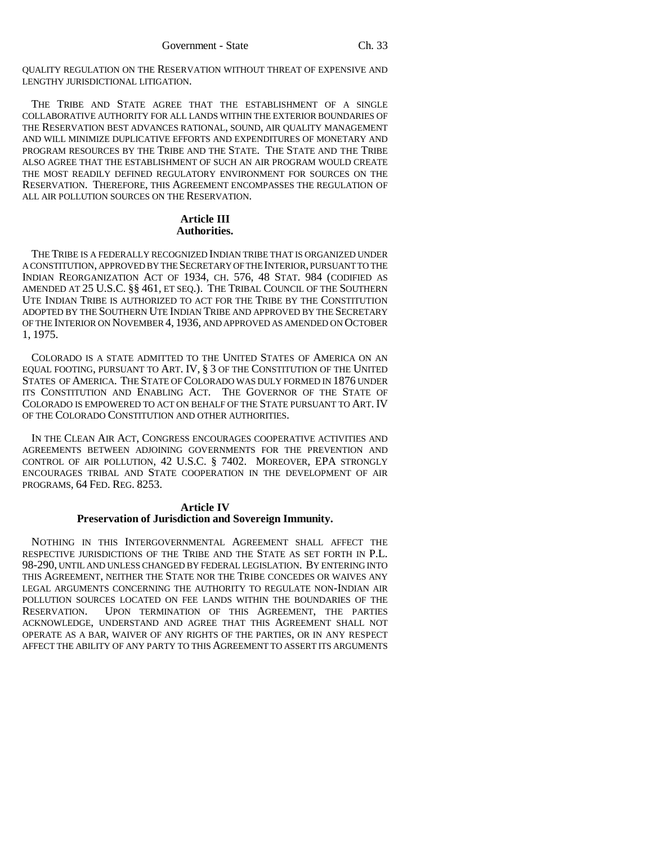QUALITY REGULATION ON THE RESERVATION WITHOUT THREAT OF EXPENSIVE AND LENGTHY JURISDICTIONAL LITIGATION.

THE TRIBE AND STATE AGREE THAT THE ESTABLISHMENT OF A SINGLE COLLABORATIVE AUTHORITY FOR ALL LANDS WITHIN THE EXTERIOR BOUNDARIES OF THE RESERVATION BEST ADVANCES RATIONAL, SOUND, AIR QUALITY MANAGEMENT AND WILL MINIMIZE DUPLICATIVE EFFORTS AND EXPENDITURES OF MONETARY AND PROGRAM RESOURCES BY THE TRIBE AND THE STATE. THE STATE AND THE TRIBE ALSO AGREE THAT THE ESTABLISHMENT OF SUCH AN AIR PROGRAM WOULD CREATE THE MOST READILY DEFINED REGULATORY ENVIRONMENT FOR SOURCES ON THE RESERVATION. THEREFORE, THIS AGREEMENT ENCOMPASSES THE REGULATION OF ALL AIR POLLUTION SOURCES ON THE RESERVATION.

## **Article III Authorities.**

THE TRIBE IS A FEDERALLY RECOGNIZED INDIAN TRIBE THAT IS ORGANIZED UNDER A CONSTITUTION, APPROVED BY THE SECRETARY OF THE INTERIOR, PURSUANT TO THE INDIAN REORGANIZATION ACT OF 1934, CH. 576, 48 STAT. 984 (CODIFIED AS AMENDED AT 25 U.S.C. §§ 461, ET SEQ.). THE TRIBAL COUNCIL OF THE SOUTHERN UTE INDIAN TRIBE IS AUTHORIZED TO ACT FOR THE TRIBE BY THE CONSTITUTION ADOPTED BY THE SOUTHERN UTE INDIAN TRIBE AND APPROVED BY THE SECRETARY OF THE INTERIOR ON NOVEMBER 4, 1936, AND APPROVED AS AMENDED ON OCTOBER 1, 1975.

COLORADO IS A STATE ADMITTED TO THE UNITED STATES OF AMERICA ON AN EQUAL FOOTING, PURSUANT TO ART. IV, § 3 OF THE CONSTITUTION OF THE UNITED STATES OF AMERICA. THE STATE OF COLORADO WAS DULY FORMED IN 1876 UNDER ITS CONSTITUTION AND ENABLING ACT. THE GOVERNOR OF THE STATE OF COLORADO IS EMPOWERED TO ACT ON BEHALF OF THE STATE PURSUANT TO ART. IV OF THE COLORADO CONSTITUTION AND OTHER AUTHORITIES.

IN THE CLEAN AIR ACT, CONGRESS ENCOURAGES COOPERATIVE ACTIVITIES AND AGREEMENTS BETWEEN ADJOINING GOVERNMENTS FOR THE PREVENTION AND CONTROL OF AIR POLLUTION, 42 U.S.C. § 7402. MOREOVER, EPA STRONGLY ENCOURAGES TRIBAL AND STATE COOPERATION IN THE DEVELOPMENT OF AIR PROGRAMS, 64 FED. REG. 8253.

## **Article IV Preservation of Jurisdiction and Sovereign Immunity.**

NOTHING IN THIS INTERGOVERNMENTAL AGREEMENT SHALL AFFECT THE RESPECTIVE JURISDICTIONS OF THE TRIBE AND THE STATE AS SET FORTH IN P.L. 98-290, UNTIL AND UNLESS CHANGED BY FEDERAL LEGISLATION. BY ENTERING INTO THIS AGREEMENT, NEITHER THE STATE NOR THE TRIBE CONCEDES OR WAIVES ANY LEGAL ARGUMENTS CONCERNING THE AUTHORITY TO REGULATE NON-INDIAN AIR POLLUTION SOURCES LOCATED ON FEE LANDS WITHIN THE BOUNDARIES OF THE RESERVATION. UPON TERMINATION OF THIS AGREEMENT, THE PARTIES ACKNOWLEDGE, UNDERSTAND AND AGREE THAT THIS AGREEMENT SHALL NOT OPERATE AS A BAR, WAIVER OF ANY RIGHTS OF THE PARTIES, OR IN ANY RESPECT AFFECT THE ABILITY OF ANY PARTY TO THIS AGREEMENT TO ASSERT ITS ARGUMENTS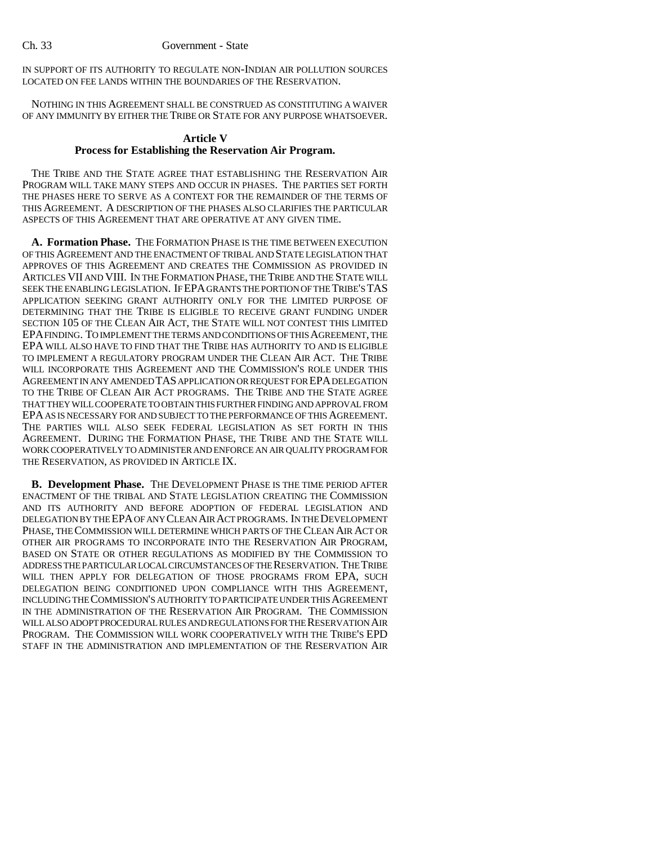IN SUPPORT OF ITS AUTHORITY TO REGULATE NON-INDIAN AIR POLLUTION SOURCES LOCATED ON FEE LANDS WITHIN THE BOUNDARIES OF THE RESERVATION.

NOTHING IN THIS AGREEMENT SHALL BE CONSTRUED AS CONSTITUTING A WAIVER OF ANY IMMUNITY BY EITHER THE TRIBE OR STATE FOR ANY PURPOSE WHATSOEVER.

## **Article V Process for Establishing the Reservation Air Program.**

THE TRIBE AND THE STATE AGREE THAT ESTABLISHING THE RESERVATION AIR PROGRAM WILL TAKE MANY STEPS AND OCCUR IN PHASES. THE PARTIES SET FORTH THE PHASES HERE TO SERVE AS A CONTEXT FOR THE REMAINDER OF THE TERMS OF THIS AGREEMENT. A DESCRIPTION OF THE PHASES ALSO CLARIFIES THE PARTICULAR ASPECTS OF THIS AGREEMENT THAT ARE OPERATIVE AT ANY GIVEN TIME.

**A. Formation Phase.** THE FORMATION PHASE IS THE TIME BETWEEN EXECUTION OF THIS AGREEMENT AND THE ENACTMENT OF TRIBAL AND STATE LEGISLATION THAT APPROVES OF THIS AGREEMENT AND CREATES THE COMMISSION AS PROVIDED IN ARTICLES VII AND VIII. IN THE FORMATION PHASE, THE TRIBE AND THE STATE WILL SEEK THE ENABLING LEGISLATION. IF EPA GRANTS THE PORTION OF THE TRIBE'S TAS APPLICATION SEEKING GRANT AUTHORITY ONLY FOR THE LIMITED PURPOSE OF DETERMINING THAT THE TRIBE IS ELIGIBLE TO RECEIVE GRANT FUNDING UNDER SECTION 105 OF THE CLEAN AIR ACT, THE STATE WILL NOT CONTEST THIS LIMITED EPA FINDING. TO IMPLEMENT THE TERMS AND CONDITIONS OF THIS AGREEMENT, THE EPA WILL ALSO HAVE TO FIND THAT THE TRIBE HAS AUTHORITY TO AND IS ELIGIBLE TO IMPLEMENT A REGULATORY PROGRAM UNDER THE CLEAN AIR ACT. THE TRIBE WILL INCORPORATE THIS AGREEMENT AND THE COMMISSION'S ROLE UNDER THIS AGREEMENT IN ANY AMENDED TAS APPLICATION OR REQUEST FOR EPA DELEGATION TO THE TRIBE OF CLEAN AIR ACT PROGRAMS. THE TRIBE AND THE STATE AGREE THAT THEY WILL COOPERATE TO OBTAIN THIS FURTHER FINDING AND APPROVAL FROM EPA AS IS NECESSARY FOR AND SUBJECT TO THE PERFORMANCE OF THIS AGREEMENT. THE PARTIES WILL ALSO SEEK FEDERAL LEGISLATION AS SET FORTH IN THIS AGREEMENT. DURING THE FORMATION PHASE, THE TRIBE AND THE STATE WILL WORK COOPERATIVELY TO ADMINISTER AND ENFORCE AN AIR QUALITY PROGRAM FOR THE RESERVATION, AS PROVIDED IN ARTICLE IX.

**B. Development Phase.** THE DEVELOPMENT PHASE IS THE TIME PERIOD AFTER ENACTMENT OF THE TRIBAL AND STATE LEGISLATION CREATING THE COMMISSION AND ITS AUTHORITY AND BEFORE ADOPTION OF FEDERAL LEGISLATION AND DELEGATION BY THE EPA OF ANY CLEAN AIR ACT PROGRAMS. IN THE DEVELOPMENT PHASE, THE COMMISSION WILL DETERMINE WHICH PARTS OF THE CLEAN AIR ACT OR OTHER AIR PROGRAMS TO INCORPORATE INTO THE RESERVATION AIR PROGRAM, BASED ON STATE OR OTHER REGULATIONS AS MODIFIED BY THE COMMISSION TO ADDRESS THE PARTICULAR LOCAL CIRCUMSTANCES OF THE RESERVATION. THE TRIBE WILL THEN APPLY FOR DELEGATION OF THOSE PROGRAMS FROM EPA, SUCH DELEGATION BEING CONDITIONED UPON COMPLIANCE WITH THIS AGREEMENT, INCLUDING THE COMMISSION'S AUTHORITY TO PARTICIPATE UNDER THIS AGREEMENT IN THE ADMINISTRATION OF THE RESERVATION AIR PROGRAM. THE COMMISSION WILL ALSO ADOPT PROCEDURAL RULES AND REGULATIONS FOR THE RESERVATION AIR PROGRAM. THE COMMISSION WILL WORK COOPERATIVELY WITH THE TRIBE'S EPD STAFF IN THE ADMINISTRATION AND IMPLEMENTATION OF THE RESERVATION AIR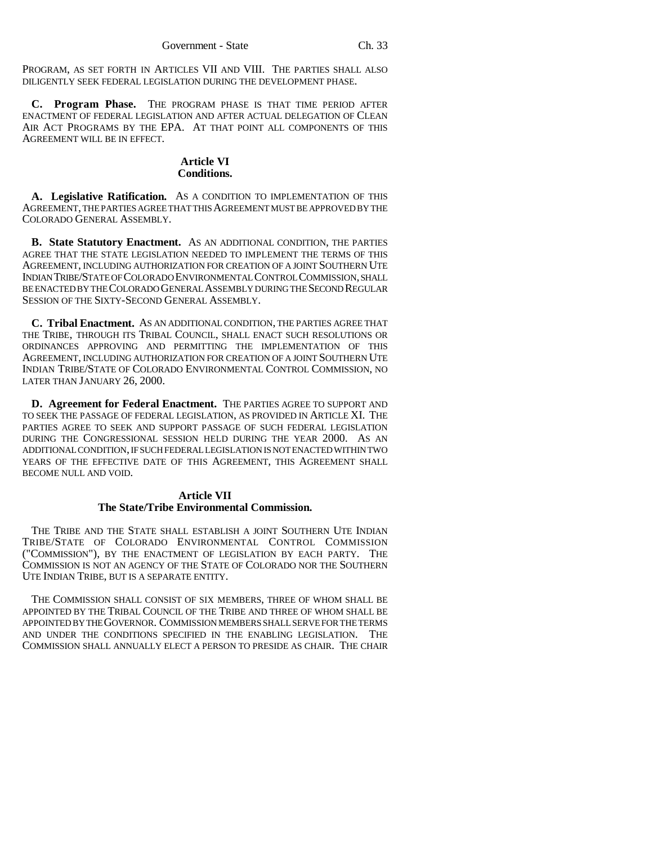PROGRAM, AS SET FORTH IN ARTICLES VII AND VIII. THE PARTIES SHALL ALSO DILIGENTLY SEEK FEDERAL LEGISLATION DURING THE DEVELOPMENT PHASE.

**C. Program Phase.** THE PROGRAM PHASE IS THAT TIME PERIOD AFTER ENACTMENT OF FEDERAL LEGISLATION AND AFTER ACTUAL DELEGATION OF CLEAN AIR ACT PROGRAMS BY THE EPA. AT THAT POINT ALL COMPONENTS OF THIS AGREEMENT WILL BE IN EFFECT.

### **Article VI Conditions.**

**A. Legislative Ratification.** AS A CONDITION TO IMPLEMENTATION OF THIS AGREEMENT, THE PARTIES AGREE THAT THIS AGREEMENT MUST BE APPROVED BY THE COLORADO GENERAL ASSEMBLY.

**B. State Statutory Enactment.** AS AN ADDITIONAL CONDITION, THE PARTIES AGREE THAT THE STATE LEGISLATION NEEDED TO IMPLEMENT THE TERMS OF THIS AGREEMENT, INCLUDING AUTHORIZATION FOR CREATION OF A JOINT SOUTHERN UTE INDIAN TRIBE/STATE OF COLORADO ENVIRONMENTAL CONTROL COMMISSION, SHALL BE ENACTED BY THE COLORADO GENERAL ASSEMBLY DURING THE SECOND REGULAR SESSION OF THE SIXTY-SECOND GENERAL ASSEMBLY.

**C. Tribal Enactment.** AS AN ADDITIONAL CONDITION, THE PARTIES AGREE THAT THE TRIBE, THROUGH ITS TRIBAL COUNCIL, SHALL ENACT SUCH RESOLUTIONS OR ORDINANCES APPROVING AND PERMITTING THE IMPLEMENTATION OF THIS AGREEMENT, INCLUDING AUTHORIZATION FOR CREATION OF A JOINT SOUTHERN UTE INDIAN TRIBE/STATE OF COLORADO ENVIRONMENTAL CONTROL COMMISSION, NO LATER THAN JANUARY 26, 2000.

**D. Agreement for Federal Enactment.** THE PARTIES AGREE TO SUPPORT AND TO SEEK THE PASSAGE OF FEDERAL LEGISLATION, AS PROVIDED IN ARTICLE XI. THE PARTIES AGREE TO SEEK AND SUPPORT PASSAGE OF SUCH FEDERAL LEGISLATION DURING THE CONGRESSIONAL SESSION HELD DURING THE YEAR 2000. AS AN ADDITIONAL CONDITION, IF SUCH FEDERAL LEGISLATION IS NOT ENACTED WITHIN TWO YEARS OF THE EFFECTIVE DATE OF THIS AGREEMENT, THIS AGREEMENT SHALL BECOME NULL AND VOID.

## **Article VII The State/Tribe Environmental Commission.**

THE TRIBE AND THE STATE SHALL ESTABLISH A JOINT SOUTHERN UTE INDIAN TRIBE/STATE OF COLORADO ENVIRONMENTAL CONTROL COMMISSION ("COMMISSION"), BY THE ENACTMENT OF LEGISLATION BY EACH PARTY. THE COMMISSION IS NOT AN AGENCY OF THE STATE OF COLORADO NOR THE SOUTHERN UTE INDIAN TRIBE, BUT IS A SEPARATE ENTITY.

THE COMMISSION SHALL CONSIST OF SIX MEMBERS, THREE OF WHOM SHALL BE APPOINTED BY THE TRIBAL COUNCIL OF THE TRIBE AND THREE OF WHOM SHALL BE APPOINTED BY THE GOVERNOR. COMMISSION MEMBERS SHALL SERVE FOR THE TERMS AND UNDER THE CONDITIONS SPECIFIED IN THE ENABLING LEGISLATION. THE COMMISSION SHALL ANNUALLY ELECT A PERSON TO PRESIDE AS CHAIR. THE CHAIR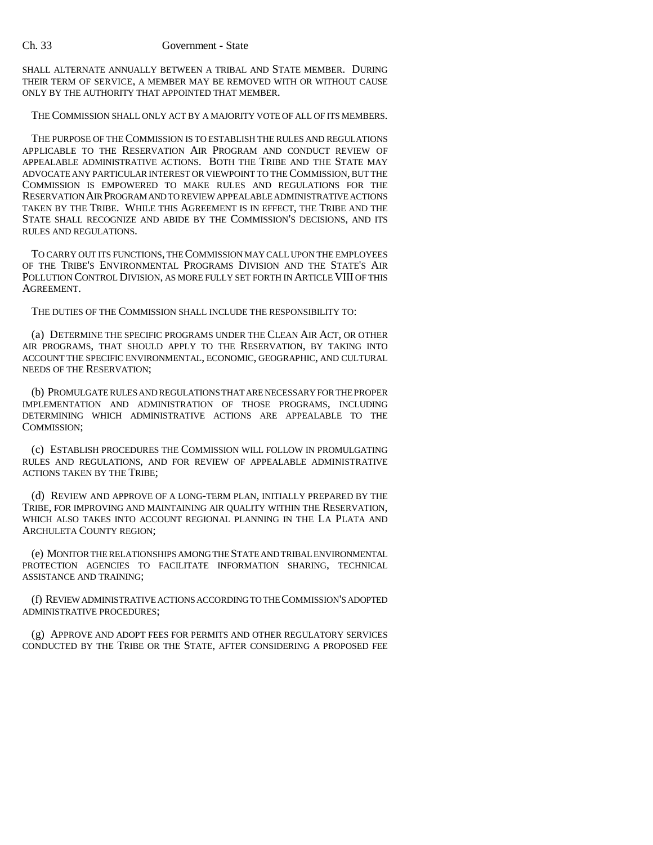SHALL ALTERNATE ANNUALLY BETWEEN A TRIBAL AND STATE MEMBER. DURING THEIR TERM OF SERVICE, A MEMBER MAY BE REMOVED WITH OR WITHOUT CAUSE ONLY BY THE AUTHORITY THAT APPOINTED THAT MEMBER.

#### THE COMMISSION SHALL ONLY ACT BY A MAJORITY VOTE OF ALL OF ITS MEMBERS.

THE PURPOSE OF THE COMMISSION IS TO ESTABLISH THE RULES AND REGULATIONS APPLICABLE TO THE RESERVATION AIR PROGRAM AND CONDUCT REVIEW OF APPEALABLE ADMINISTRATIVE ACTIONS. BOTH THE TRIBE AND THE STATE MAY ADVOCATE ANY PARTICULAR INTEREST OR VIEWPOINT TO THE COMMISSION, BUT THE COMMISSION IS EMPOWERED TO MAKE RULES AND REGULATIONS FOR THE RESERVATION AIR PROGRAM AND TO REVIEW APPEALABLE ADMINISTRATIVE ACTIONS TAKEN BY THE TRIBE. WHILE THIS AGREEMENT IS IN EFFECT, THE TRIBE AND THE STATE SHALL RECOGNIZE AND ABIDE BY THE COMMISSION'S DECISIONS, AND ITS RULES AND REGULATIONS.

TO CARRY OUT ITS FUNCTIONS, THE COMMISSION MAY CALL UPON THE EMPLOYEES OF THE TRIBE'S ENVIRONMENTAL PROGRAMS DIVISION AND THE STATE'S AIR POLLUTION CONTROL DIVISION, AS MORE FULLY SET FORTH IN ARTICLE VIII OF THIS AGREEMENT.

THE DUTIES OF THE COMMISSION SHALL INCLUDE THE RESPONSIBILITY TO:

(a) DETERMINE THE SPECIFIC PROGRAMS UNDER THE CLEAN AIR ACT, OR OTHER AIR PROGRAMS, THAT SHOULD APPLY TO THE RESERVATION, BY TAKING INTO ACCOUNT THE SPECIFIC ENVIRONMENTAL, ECONOMIC, GEOGRAPHIC, AND CULTURAL NEEDS OF THE RESERVATION;

(b) PROMULGATE RULES AND REGULATIONS THAT ARE NECESSARY FOR THE PROPER IMPLEMENTATION AND ADMINISTRATION OF THOSE PROGRAMS, INCLUDING DETERMINING WHICH ADMINISTRATIVE ACTIONS ARE APPEALABLE TO THE COMMISSION;

(c) ESTABLISH PROCEDURES THE COMMISSION WILL FOLLOW IN PROMULGATING RULES AND REGULATIONS, AND FOR REVIEW OF APPEALABLE ADMINISTRATIVE ACTIONS TAKEN BY THE TRIBE;

(d) REVIEW AND APPROVE OF A LONG-TERM PLAN, INITIALLY PREPARED BY THE TRIBE, FOR IMPROVING AND MAINTAINING AIR QUALITY WITHIN THE RESERVATION, WHICH ALSO TAKES INTO ACCOUNT REGIONAL PLANNING IN THE LA PLATA AND ARCHULETA COUNTY REGION;

(e) MONITOR THE RELATIONSHIPS AMONG THE STATE AND TRIBAL ENVIRONMENTAL PROTECTION AGENCIES TO FACILITATE INFORMATION SHARING, TECHNICAL ASSISTANCE AND TRAINING;

(f) REVIEW ADMINISTRATIVE ACTIONS ACCORDING TO THE COMMISSION'S ADOPTED ADMINISTRATIVE PROCEDURES;

(g) APPROVE AND ADOPT FEES FOR PERMITS AND OTHER REGULATORY SERVICES CONDUCTED BY THE TRIBE OR THE STATE, AFTER CONSIDERING A PROPOSED FEE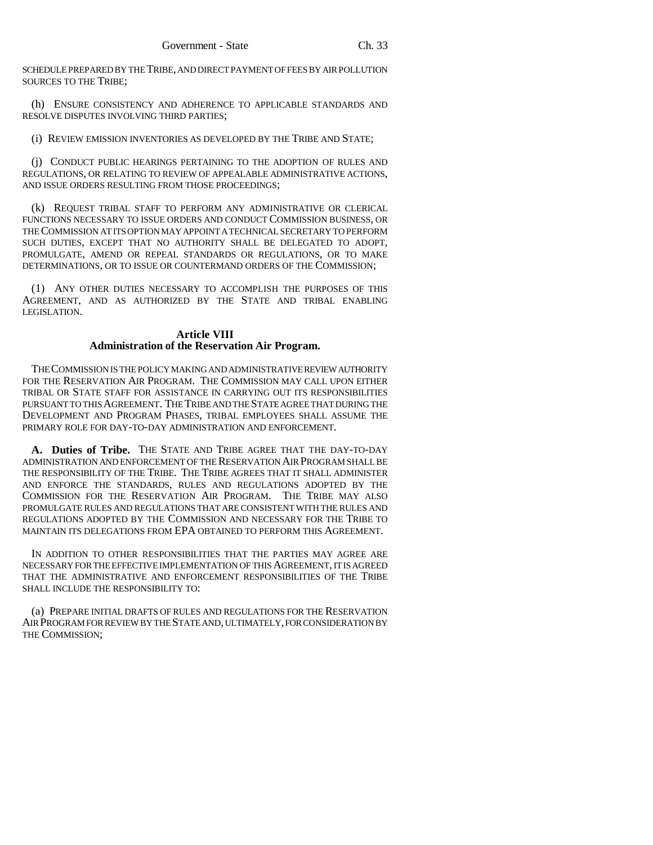SCHEDULE PREPARED BY THE TRIBE, AND DIRECT PAYMENT OF FEES BY AIR POLLUTION SOURCES TO THE TRIBE;

(h) ENSURE CONSISTENCY AND ADHERENCE TO APPLICABLE STANDARDS AND RESOLVE DISPUTES INVOLVING THIRD PARTIES;

(i) REVIEW EMISSION INVENTORIES AS DEVELOPED BY THE TRIBE AND STATE;

(j) CONDUCT PUBLIC HEARINGS PERTAINING TO THE ADOPTION OF RULES AND REGULATIONS, OR RELATING TO REVIEW OF APPEALABLE ADMINISTRATIVE ACTIONS, AND ISSUE ORDERS RESULTING FROM THOSE PROCEEDINGS;

(k) REQUEST TRIBAL STAFF TO PERFORM ANY ADMINISTRATIVE OR CLERICAL FUNCTIONS NECESSARY TO ISSUE ORDERS AND CONDUCT COMMISSION BUSINESS, OR THE COMMISSION AT ITS OPTION MAY APPOINT A TECHNICAL SECRETARY TO PERFORM SUCH DUTIES, EXCEPT THAT NO AUTHORITY SHALL BE DELEGATED TO ADOPT, PROMULGATE, AMEND OR REPEAL STANDARDS OR REGULATIONS, OR TO MAKE DETERMINATIONS, OR TO ISSUE OR COUNTERMAND ORDERS OF THE COMMISSION;

(1) ANY OTHER DUTIES NECESSARY TO ACCOMPLISH THE PURPOSES OF THIS AGREEMENT, AND AS AUTHORIZED BY THE STATE AND TRIBAL ENABLING LEGISLATION.

## **Article VIII Administration of the Reservation Air Program.**

THE COMMISSION IS THE POLICY MAKING AND ADMINISTRATIVE REVIEW AUTHORITY FOR THE RESERVATION AIR PROGRAM. THE COMMISSION MAY CALL UPON EITHER TRIBAL OR STATE STAFF FOR ASSISTANCE IN CARRYING OUT ITS RESPONSIBILITIES PURSUANT TO THIS AGREEMENT. THE TRIBE AND THE STATE AGREE THAT DURING THE DEVELOPMENT AND PROGRAM PHASES, TRIBAL EMPLOYEES SHALL ASSUME THE PRIMARY ROLE FOR DAY-TO-DAY ADMINISTRATION AND ENFORCEMENT.

**A. Duties of Tribe.** THE STATE AND TRIBE AGREE THAT THE DAY-TO-DAY ADMINISTRATION AND ENFORCEMENT OF THE RESERVATION AIR PROGRAM SHALL BE THE RESPONSIBILITY OF THE TRIBE. THE TRIBE AGREES THAT IT SHALL ADMINISTER AND ENFORCE THE STANDARDS, RULES AND REGULATIONS ADOPTED BY THE COMMISSION FOR THE RESERVATION AIR PROGRAM. THE TRIBE MAY ALSO PROMULGATE RULES AND REGULATIONS THAT ARE CONSISTENT WITH THE RULES AND REGULATIONS ADOPTED BY THE COMMISSION AND NECESSARY FOR THE TRIBE TO MAINTAIN ITS DELEGATIONS FROM EPA OBTAINED TO PERFORM THIS AGREEMENT.

IN ADDITION TO OTHER RESPONSIBILITIES THAT THE PARTIES MAY AGREE ARE NECESSARY FOR THE EFFECTIVE IMPLEMENTATION OF THIS AGREEMENT, IT IS AGREED THAT THE ADMINISTRATIVE AND ENFORCEMENT RESPONSIBILITIES OF THE TRIBE SHALL INCLUDE THE RESPONSIBILITY TO:

(a) PREPARE INITIAL DRAFTS OF RULES AND REGULATIONS FOR THE RESERVATION AIR PROGRAM FOR REVIEW BY THE STATE AND, ULTIMATELY, FOR CONSIDERATION BY THE COMMISSION;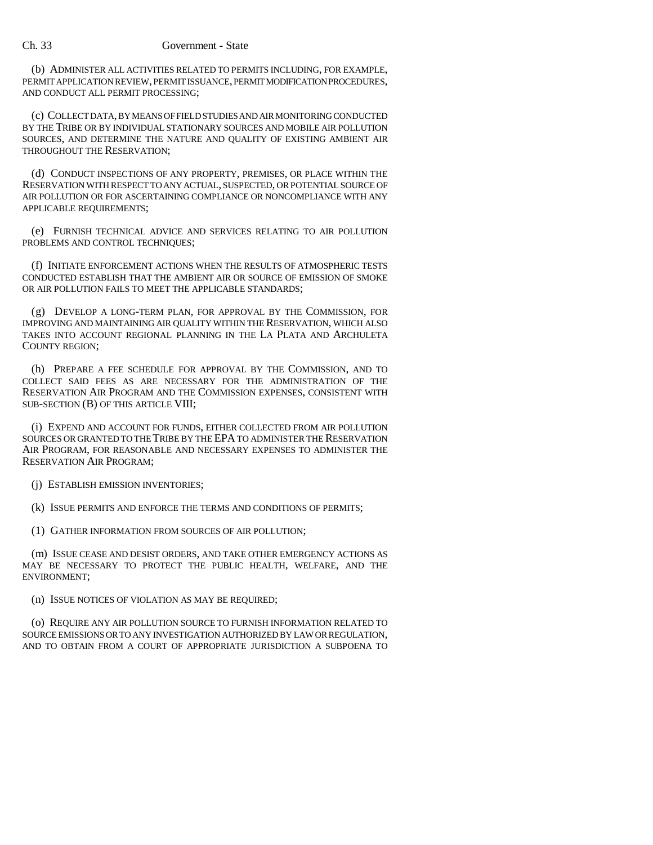(b) ADMINISTER ALL ACTIVITIES RELATED TO PERMITS INCLUDING, FOR EXAMPLE, PERMIT APPLICATION REVIEW, PERMIT ISSUANCE, PERMIT MODIFICATION PROCEDURES, AND CONDUCT ALL PERMIT PROCESSING;

(c) COLLECT DATA, BY MEANS OF FIELD STUDIES AND AIR MONITORING CONDUCTED BY THE TRIBE OR BY INDIVIDUAL STATIONARY SOURCES AND MOBILE AIR POLLUTION SOURCES, AND DETERMINE THE NATURE AND QUALITY OF EXISTING AMBIENT AIR THROUGHOUT THE RESERVATION;

(d) CONDUCT INSPECTIONS OF ANY PROPERTY, PREMISES, OR PLACE WITHIN THE RESERVATION WITH RESPECT TO ANY ACTUAL, SUSPECTED, OR POTENTIAL SOURCE OF AIR POLLUTION OR FOR ASCERTAINING COMPLIANCE OR NONCOMPLIANCE WITH ANY APPLICABLE REQUIREMENTS;

(e) FURNISH TECHNICAL ADVICE AND SERVICES RELATING TO AIR POLLUTION PROBLEMS AND CONTROL TECHNIQUES;

(f) INITIATE ENFORCEMENT ACTIONS WHEN THE RESULTS OF ATMOSPHERIC TESTS CONDUCTED ESTABLISH THAT THE AMBIENT AIR OR SOURCE OF EMISSION OF SMOKE OR AIR POLLUTION FAILS TO MEET THE APPLICABLE STANDARDS;

(g) DEVELOP A LONG-TERM PLAN, FOR APPROVAL BY THE COMMISSION, FOR IMPROVING AND MAINTAINING AIR QUALITY WITHIN THE RESERVATION, WHICH ALSO TAKES INTO ACCOUNT REGIONAL PLANNING IN THE LA PLATA AND ARCHULETA COUNTY REGION;

(h) PREPARE A FEE SCHEDULE FOR APPROVAL BY THE COMMISSION, AND TO COLLECT SAID FEES AS ARE NECESSARY FOR THE ADMINISTRATION OF THE RESERVATION AIR PROGRAM AND THE COMMISSION EXPENSES, CONSISTENT WITH SUB-SECTION (B) OF THIS ARTICLE VIII;

(i) EXPEND AND ACCOUNT FOR FUNDS, EITHER COLLECTED FROM AIR POLLUTION SOURCES OR GRANTED TO THE TRIBE BY THE EPA TO ADMINISTER THE RESERVATION AIR PROGRAM, FOR REASONABLE AND NECESSARY EXPENSES TO ADMINISTER THE RESERVATION AIR PROGRAM;

(j) ESTABLISH EMISSION INVENTORIES;

(k) ISSUE PERMITS AND ENFORCE THE TERMS AND CONDITIONS OF PERMITS;

(1) GATHER INFORMATION FROM SOURCES OF AIR POLLUTION;

(m) ISSUE CEASE AND DESIST ORDERS, AND TAKE OTHER EMERGENCY ACTIONS AS MAY BE NECESSARY TO PROTECT THE PUBLIC HEALTH, WELFARE, AND THE ENVIRONMENT;

(n) ISSUE NOTICES OF VIOLATION AS MAY BE REQUIRED;

(o) REQUIRE ANY AIR POLLUTION SOURCE TO FURNISH INFORMATION RELATED TO SOURCE EMISSIONS OR TO ANY INVESTIGATION AUTHORIZED BY LAW OR REGULATION, AND TO OBTAIN FROM A COURT OF APPROPRIATE JURISDICTION A SUBPOENA TO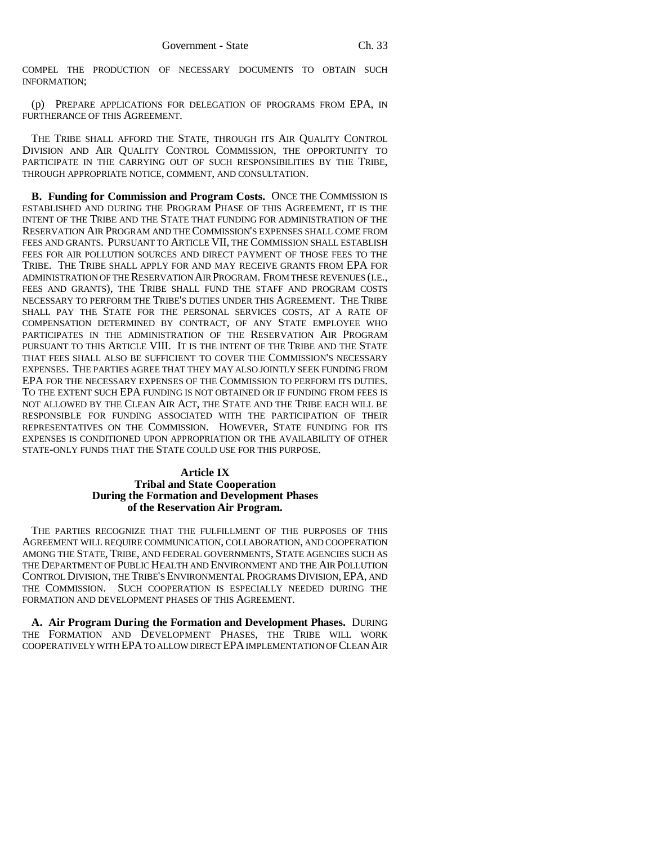COMPEL THE PRODUCTION OF NECESSARY DOCUMENTS TO OBTAIN SUCH INFORMATION;

(p) PREPARE APPLICATIONS FOR DELEGATION OF PROGRAMS FROM EPA, IN FURTHERANCE OF THIS AGREEMENT.

THE TRIBE SHALL AFFORD THE STATE, THROUGH ITS AIR QUALITY CONTROL DIVISION AND AIR QUALITY CONTROL COMMISSION, THE OPPORTUNITY TO PARTICIPATE IN THE CARRYING OUT OF SUCH RESPONSIBILITIES BY THE TRIBE, THROUGH APPROPRIATE NOTICE, COMMENT, AND CONSULTATION.

**B. Funding for Commission and Program Costs.** ONCE THE COMMISSION IS ESTABLISHED AND DURING THE PROGRAM PHASE OF THIS AGREEMENT, IT IS THE INTENT OF THE TRIBE AND THE STATE THAT FUNDING FOR ADMINISTRATION OF THE RESERVATION AIR PROGRAM AND THE COMMISSION'S EXPENSES SHALL COME FROM FEES AND GRANTS. PURSUANT TO ARTICLE VII, THE COMMISSION SHALL ESTABLISH FEES FOR AIR POLLUTION SOURCES AND DIRECT PAYMENT OF THOSE FEES TO THE TRIBE. THE TRIBE SHALL APPLY FOR AND MAY RECEIVE GRANTS FROM EPA FOR ADMINISTRATION OF THE RESERVATION AIR PROGRAM. FROM THESE REVENUES (I.E., FEES AND GRANTS), THE TRIBE SHALL FUND THE STAFF AND PROGRAM COSTS NECESSARY TO PERFORM THE TRIBE'S DUTIES UNDER THIS AGREEMENT. THE TRIBE SHALL PAY THE STATE FOR THE PERSONAL SERVICES COSTS, AT A RATE OF COMPENSATION DETERMINED BY CONTRACT, OF ANY STATE EMPLOYEE WHO PARTICIPATES IN THE ADMINISTRATION OF THE RESERVATION AIR PROGRAM PURSUANT TO THIS ARTICLE VIII. IT IS THE INTENT OF THE TRIBE AND THE STATE THAT FEES SHALL ALSO BE SUFFICIENT TO COVER THE COMMISSION'S NECESSARY EXPENSES. THE PARTIES AGREE THAT THEY MAY ALSO JOINTLY SEEK FUNDING FROM EPA FOR THE NECESSARY EXPENSES OF THE COMMISSION TO PERFORM ITS DUTIES. TO THE EXTENT SUCH EPA FUNDING IS NOT OBTAINED OR IF FUNDING FROM FEES IS NOT ALLOWED BY THE CLEAN AIR ACT, THE STATE AND THE TRIBE EACH WILL BE RESPONSIBLE FOR FUNDING ASSOCIATED WITH THE PARTICIPATION OF THEIR REPRESENTATIVES ON THE COMMISSION. HOWEVER, STATE FUNDING FOR ITS EXPENSES IS CONDITIONED UPON APPROPRIATION OR THE AVAILABILITY OF OTHER STATE-ONLY FUNDS THAT THE STATE COULD USE FOR THIS PURPOSE.

#### **Article IX Tribal and State Cooperation During the Formation and Development Phases of the Reservation Air Program.**

THE PARTIES RECOGNIZE THAT THE FULFILLMENT OF THE PURPOSES OF THIS AGREEMENT WILL REQUIRE COMMUNICATION, COLLABORATION, AND COOPERATION AMONG THE STATE, TRIBE, AND FEDERAL GOVERNMENTS, STATE AGENCIES SUCH AS THE DEPARTMENT OF PUBLIC HEALTH AND ENVIRONMENT AND THE AIR POLLUTION CONTROL DIVISION, THE TRIBE'S ENVIRONMENTAL PROGRAMS DIVISION, EPA, AND THE COMMISSION. SUCH COOPERATION IS ESPECIALLY NEEDED DURING THE FORMATION AND DEVELOPMENT PHASES OF THIS AGREEMENT.

**A. Air Program During the Formation and Development Phases.** DURING THE FORMATION AND DEVELOPMENT PHASES, THE TRIBE WILL WORK COOPERATIVELY WITH EPA TO ALLOW DIRECT EPA IMPLEMENTATION OF CLEAN AIR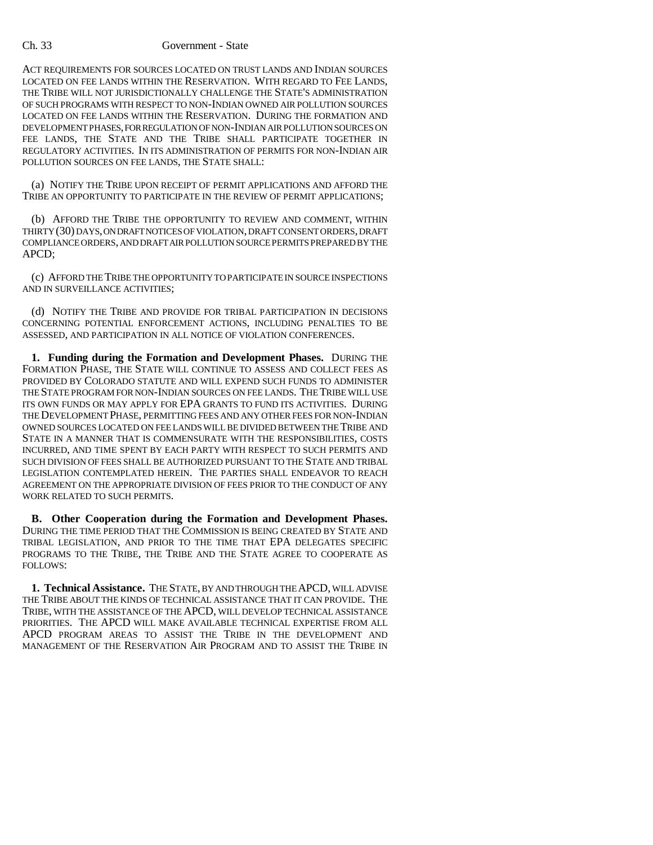ACT REQUIREMENTS FOR SOURCES LOCATED ON TRUST LANDS AND INDIAN SOURCES LOCATED ON FEE LANDS WITHIN THE RESERVATION. WITH REGARD TO FEE LANDS, THE TRIBE WILL NOT JURISDICTIONALLY CHALLENGE THE STATE'S ADMINISTRATION OF SUCH PROGRAMS WITH RESPECT TO NON-INDIAN OWNED AIR POLLUTION SOURCES LOCATED ON FEE LANDS WITHIN THE RESERVATION. DURING THE FORMATION AND DEVELOPMENT PHASES, FOR REGULATION OF NON-INDIAN AIR POLLUTION SOURCES ON FEE LANDS, THE STATE AND THE TRIBE SHALL PARTICIPATE TOGETHER IN REGULATORY ACTIVITIES. IN ITS ADMINISTRATION OF PERMITS FOR NON-INDIAN AIR POLLUTION SOURCES ON FEE LANDS, THE STATE SHALL:

(a) NOTIFY THE TRIBE UPON RECEIPT OF PERMIT APPLICATIONS AND AFFORD THE TRIBE AN OPPORTUNITY TO PARTICIPATE IN THE REVIEW OF PERMIT APPLICATIONS;

(b) AFFORD THE TRIBE THE OPPORTUNITY TO REVIEW AND COMMENT, WITHIN THIRTY (30) DAYS, ON DRAFT NOTICES OF VIOLATION, DRAFT CONSENT ORDERS, DRAFT COMPLIANCE ORDERS, AND DRAFT AIR POLLUTION SOURCE PERMITS PREPARED BY THE APCD;

(c) AFFORD THE TRIBE THE OPPORTUNITY TO PARTICIPATE IN SOURCE INSPECTIONS AND IN SURVEILLANCE ACTIVITIES;

(d) NOTIFY THE TRIBE AND PROVIDE FOR TRIBAL PARTICIPATION IN DECISIONS CONCERNING POTENTIAL ENFORCEMENT ACTIONS, INCLUDING PENALTIES TO BE ASSESSED, AND PARTICIPATION IN ALL NOTICE OF VIOLATION CONFERENCES.

**1. Funding during the Formation and Development Phases.** DURING THE FORMATION PHASE, THE STATE WILL CONTINUE TO ASSESS AND COLLECT FEES AS PROVIDED BY COLORADO STATUTE AND WILL EXPEND SUCH FUNDS TO ADMINISTER THE STATE PROGRAM FOR NON-INDIAN SOURCES ON FEE LANDS. THE TRIBE WILL USE ITS OWN FUNDS OR MAY APPLY FOR EPA GRANTS TO FUND ITS ACTIVITIES. DURING THE DEVELOPMENT PHASE, PERMITTING FEES AND ANY OTHER FEES FOR NON-INDIAN OWNED SOURCES LOCATED ON FEE LANDS WILL BE DIVIDED BETWEEN THE TRIBE AND STATE IN A MANNER THAT IS COMMENSURATE WITH THE RESPONSIBILITIES, COSTS INCURRED, AND TIME SPENT BY EACH PARTY WITH RESPECT TO SUCH PERMITS AND SUCH DIVISION OF FEES SHALL BE AUTHORIZED PURSUANT TO THE STATE AND TRIBAL LEGISLATION CONTEMPLATED HEREIN. THE PARTIES SHALL ENDEAVOR TO REACH AGREEMENT ON THE APPROPRIATE DIVISION OF FEES PRIOR TO THE CONDUCT OF ANY WORK RELATED TO SUCH PERMITS.

**B. Other Cooperation during the Formation and Development Phases.** DURING THE TIME PERIOD THAT THE COMMISSION IS BEING CREATED BY STATE AND TRIBAL LEGISLATION, AND PRIOR TO THE TIME THAT EPA DELEGATES SPECIFIC PROGRAMS TO THE TRIBE, THE TRIBE AND THE STATE AGREE TO COOPERATE AS FOLLOWS:

**1. Technical Assistance.** THE STATE, BY AND THROUGH THE APCD, WILL ADVISE THE TRIBE ABOUT THE KINDS OF TECHNICAL ASSISTANCE THAT IT CAN PROVIDE. THE TRIBE, WITH THE ASSISTANCE OF THE APCD, WILL DEVELOP TECHNICAL ASSISTANCE PRIORITIES. THE APCD WILL MAKE AVAILABLE TECHNICAL EXPERTISE FROM ALL APCD PROGRAM AREAS TO ASSIST THE TRIBE IN THE DEVELOPMENT AND MANAGEMENT OF THE RESERVATION AIR PROGRAM AND TO ASSIST THE TRIBE IN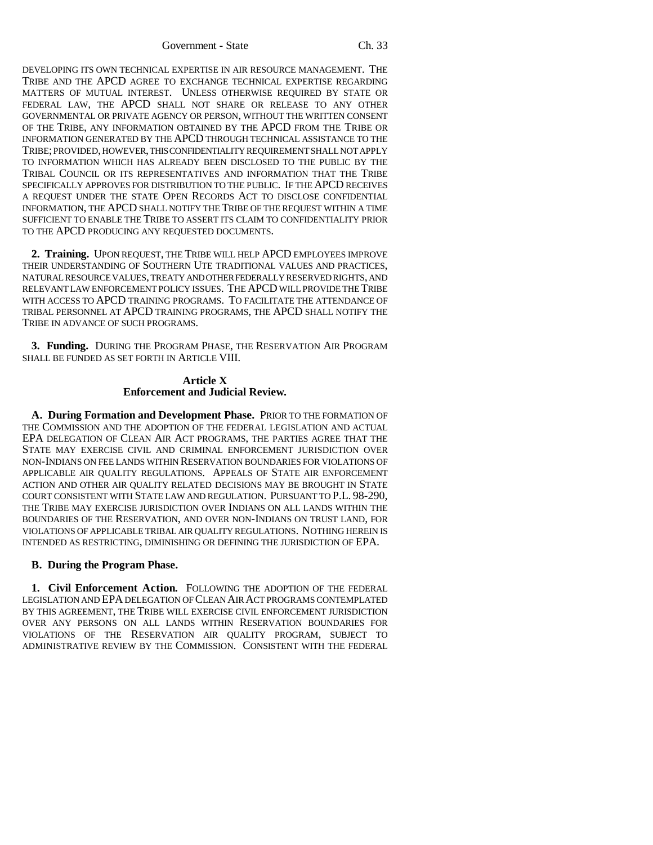Government - State Ch. 33

DEVELOPING ITS OWN TECHNICAL EXPERTISE IN AIR RESOURCE MANAGEMENT. THE TRIBE AND THE APCD AGREE TO EXCHANGE TECHNICAL EXPERTISE REGARDING MATTERS OF MUTUAL INTEREST. UNLESS OTHERWISE REQUIRED BY STATE OR FEDERAL LAW, THE APCD SHALL NOT SHARE OR RELEASE TO ANY OTHER GOVERNMENTAL OR PRIVATE AGENCY OR PERSON, WITHOUT THE WRITTEN CONSENT OF THE TRIBE, ANY INFORMATION OBTAINED BY THE APCD FROM THE TRIBE OR INFORMATION GENERATED BY THE APCD THROUGH TECHNICAL ASSISTANCE TO THE TRIBE; PROVIDED, HOWEVER, THIS CONFIDENTIALITY REQUIREMENT SHALL NOT APPLY TO INFORMATION WHICH HAS ALREADY BEEN DISCLOSED TO THE PUBLIC BY THE TRIBAL COUNCIL OR ITS REPRESENTATIVES AND INFORMATION THAT THE TRIBE SPECIFICALLY APPROVES FOR DISTRIBUTION TO THE PUBLIC. IF THE APCD RECEIVES A REQUEST UNDER THE STATE OPEN RECORDS ACT TO DISCLOSE CONFIDENTIAL INFORMATION, THE APCD SHALL NOTIFY THE TRIBE OF THE REQUEST WITHIN A TIME SUFFICIENT TO ENABLE THE TRIBE TO ASSERT ITS CLAIM TO CONFIDENTIALITY PRIOR TO THE APCD PRODUCING ANY REQUESTED DOCUMENTS.

**2. Training.** UPON REQUEST, THE TRIBE WILL HELP APCD EMPLOYEES IMPROVE THEIR UNDERSTANDING OF SOUTHERN UTE TRADITIONAL VALUES AND PRACTICES, NATURAL RESOURCE VALUES, TREATY AND OTHER FEDERALLY RESERVED RIGHTS, AND RELEVANT LAW ENFORCEMENT POLICY ISSUES. THE APCD WILL PROVIDE THE TRIBE WITH ACCESS TO APCD TRAINING PROGRAMS. TO FACILITATE THE ATTENDANCE OF TRIBAL PERSONNEL AT APCD TRAINING PROGRAMS, THE APCD SHALL NOTIFY THE TRIBE IN ADVANCE OF SUCH PROGRAMS.

**3. Funding.** DURING THE PROGRAM PHASE, THE RESERVATION AIR PROGRAM SHALL BE FUNDED AS SET FORTH IN ARTICLE VIII.

## **Article X Enforcement and Judicial Review.**

**A. During Formation and Development Phase.** PRIOR TO THE FORMATION OF THE COMMISSION AND THE ADOPTION OF THE FEDERAL LEGISLATION AND ACTUAL EPA DELEGATION OF CLEAN AIR ACT PROGRAMS, THE PARTIES AGREE THAT THE STATE MAY EXERCISE CIVIL AND CRIMINAL ENFORCEMENT JURISDICTION OVER NON-INDIANS ON FEE LANDS WITHIN RESERVATION BOUNDARIES FOR VIOLATIONS OF APPLICABLE AIR QUALITY REGULATIONS. APPEALS OF STATE AIR ENFORCEMENT ACTION AND OTHER AIR QUALITY RELATED DECISIONS MAY BE BROUGHT IN STATE COURT CONSISTENT WITH STATE LAW AND REGULATION. PURSUANT TO P.L. 98-290, THE TRIBE MAY EXERCISE JURISDICTION OVER INDIANS ON ALL LANDS WITHIN THE BOUNDARIES OF THE RESERVATION, AND OVER NON-INDIANS ON TRUST LAND, FOR VIOLATIONS OF APPLICABLE TRIBAL AIR QUALITY REGULATIONS. NOTHING HEREIN IS INTENDED AS RESTRICTING, DIMINISHING OR DEFINING THE JURISDICTION OF EPA.

## **B. During the Program Phase.**

**1. Civil Enforcement Action.** FOLLOWING THE ADOPTION OF THE FEDERAL LEGISLATION AND EPA DELEGATION OF CLEAN AIR ACT PROGRAMS CONTEMPLATED BY THIS AGREEMENT, THE TRIBE WILL EXERCISE CIVIL ENFORCEMENT JURISDICTION OVER ANY PERSONS ON ALL LANDS WITHIN RESERVATION BOUNDARIES FOR VIOLATIONS OF THE RESERVATION AIR QUALITY PROGRAM, SUBJECT TO ADMINISTRATIVE REVIEW BY THE COMMISSION. CONSISTENT WITH THE FEDERAL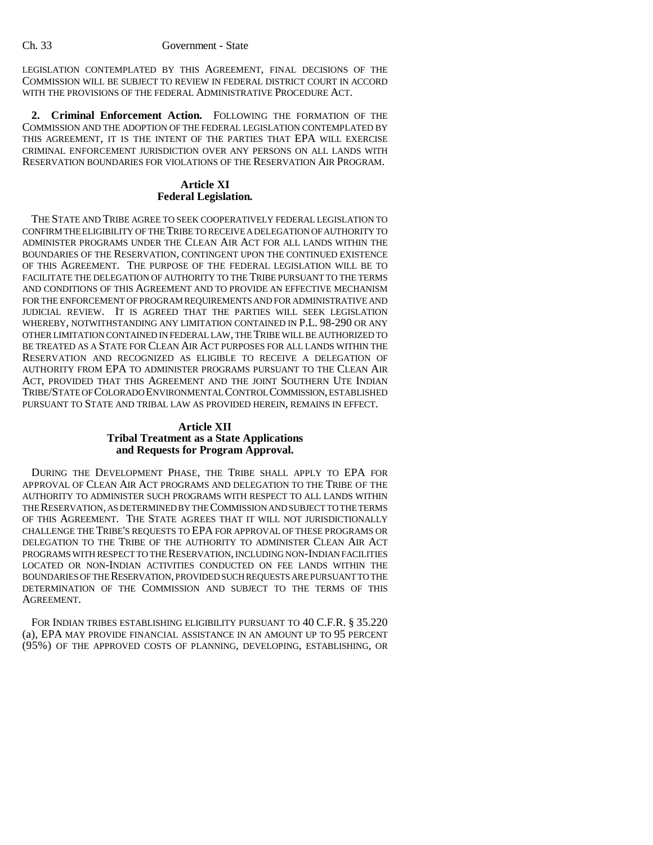LEGISLATION CONTEMPLATED BY THIS AGREEMENT, FINAL DECISIONS OF THE COMMISSION WILL BE SUBJECT TO REVIEW IN FEDERAL DISTRICT COURT IN ACCORD WITH THE PROVISIONS OF THE FEDERAL ADMINISTRATIVE PROCEDURE ACT.

**2. Criminal Enforcement Action.** FOLLOWING THE FORMATION OF THE COMMISSION AND THE ADOPTION OF THE FEDERAL LEGISLATION CONTEMPLATED BY THIS AGREEMENT, IT IS THE INTENT OF THE PARTIES THAT EPA WILL EXERCISE CRIMINAL ENFORCEMENT JURISDICTION OVER ANY PERSONS ON ALL LANDS WITH RESERVATION BOUNDARIES FOR VIOLATIONS OF THE RESERVATION AIR PROGRAM.

## **Article XI Federal Legislation.**

THE STATE AND TRIBE AGREE TO SEEK COOPERATIVELY FEDERAL LEGISLATION TO CONFIRM THE ELIGIBILITY OF THE TRIBE TO RECEIVE A DELEGATION OF AUTHORITY TO ADMINISTER PROGRAMS UNDER THE CLEAN AIR ACT FOR ALL LANDS WITHIN THE BOUNDARIES OF THE RESERVATION, CONTINGENT UPON THE CONTINUED EXISTENCE OF THIS AGREEMENT. THE PURPOSE OF THE FEDERAL LEGISLATION WILL BE TO FACILITATE THE DELEGATION OF AUTHORITY TO THE TRIBE PURSUANT TO THE TERMS AND CONDITIONS OF THIS AGREEMENT AND TO PROVIDE AN EFFECTIVE MECHANISM FOR THE ENFORCEMENT OF PROGRAM REQUIREMENTS AND FOR ADMINISTRATIVE AND JUDICIAL REVIEW. IT IS AGREED THAT THE PARTIES WILL SEEK LEGISLATION WHEREBY, NOTWITHSTANDING ANY LIMITATION CONTAINED IN P.L. 98-290 OR ANY OTHER LIMITATION CONTAINED IN FEDERAL LAW, THE TRIBE WILL BE AUTHORIZED TO BE TREATED AS A STATE FOR CLEAN AIR ACT PURPOSES FOR ALL LANDS WITHIN THE RESERVATION AND RECOGNIZED AS ELIGIBLE TO RECEIVE A DELEGATION OF AUTHORITY FROM EPA TO ADMINISTER PROGRAMS PURSUANT TO THE CLEAN AIR ACT, PROVIDED THAT THIS AGREEMENT AND THE JOINT SOUTHERN UTE INDIAN TRIBE/STATE OF COLORADO ENVIRONMENTAL CONTROL COMMISSION, ESTABLISHED PURSUANT TO STATE AND TRIBAL LAW AS PROVIDED HEREIN, REMAINS IN EFFECT.

## **Article XII Tribal Treatment as a State Applications and Requests for Program Approval.**

DURING THE DEVELOPMENT PHASE, THE TRIBE SHALL APPLY TO EPA FOR APPROVAL OF CLEAN AIR ACT PROGRAMS AND DELEGATION TO THE TRIBE OF THE AUTHORITY TO ADMINISTER SUCH PROGRAMS WITH RESPECT TO ALL LANDS WITHIN THE RESERVATION, AS DETERMINED BY THE COMMISSION AND SUBJECT TO THE TERMS OF THIS AGREEMENT. THE STATE AGREES THAT IT WILL NOT JURISDICTIONALLY CHALLENGE THE TRIBE'S REQUESTS TO EPA FOR APPROVAL OF THESE PROGRAMS OR DELEGATION TO THE TRIBE OF THE AUTHORITY TO ADMINISTER CLEAN AIR ACT PROGRAMS WITH RESPECT TO THE RESERVATION, INCLUDING NON-INDIAN FACILITIES LOCATED OR NON-INDIAN ACTIVITIES CONDUCTED ON FEE LANDS WITHIN THE BOUNDARIES OF THE RESERVATION, PROVIDED SUCH REQUESTS ARE PURSUANT TO THE DETERMINATION OF THE COMMISSION AND SUBJECT TO THE TERMS OF THIS AGREEMENT.

FOR INDIAN TRIBES ESTABLISHING ELIGIBILITY PURSUANT TO 40 C.F.R. § 35.220 (a), EPA MAY PROVIDE FINANCIAL ASSISTANCE IN AN AMOUNT UP TO 95 PERCENT (95%) OF THE APPROVED COSTS OF PLANNING, DEVELOPING, ESTABLISHING, OR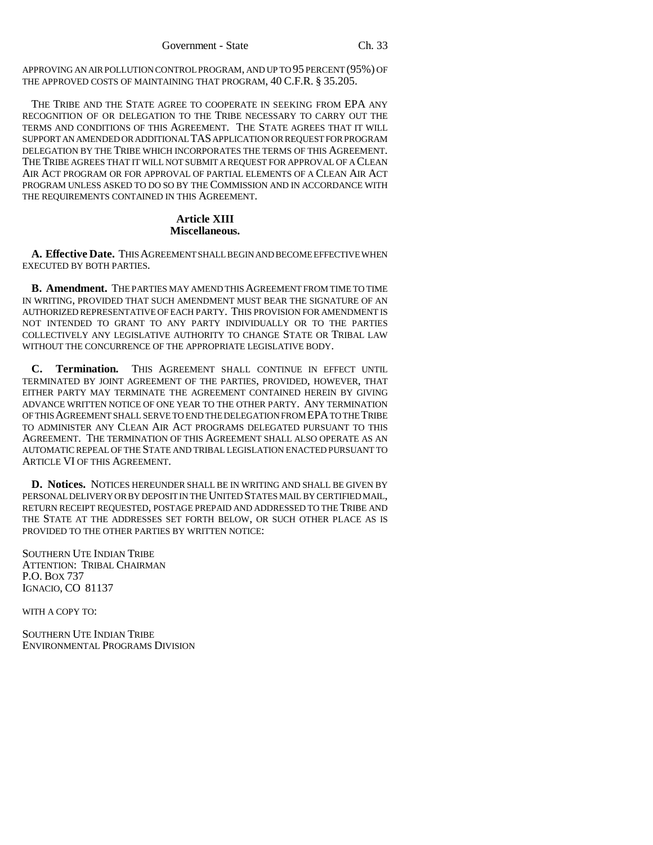APPROVING AN AIR POLLUTION CONTROL PROGRAM, AND UP TO 95 PERCENT (95%) OF THE APPROVED COSTS OF MAINTAINING THAT PROGRAM, 40 C.F.R. § 35.205.

THE TRIBE AND THE STATE AGREE TO COOPERATE IN SEEKING FROM EPA ANY RECOGNITION OF OR DELEGATION TO THE TRIBE NECESSARY TO CARRY OUT THE TERMS AND CONDITIONS OF THIS AGREEMENT. THE STATE AGREES THAT IT WILL SUPPORT AN AMENDED OR ADDITIONAL TAS APPLICATION OR REQUEST FOR PROGRAM DELEGATION BY THE TRIBE WHICH INCORPORATES THE TERMS OF THIS AGREEMENT. THE TRIBE AGREES THAT IT WILL NOT SUBMIT A REQUEST FOR APPROVAL OF A CLEAN AIR ACT PROGRAM OR FOR APPROVAL OF PARTIAL ELEMENTS OF A CLEAN AIR ACT PROGRAM UNLESS ASKED TO DO SO BY THE COMMISSION AND IN ACCORDANCE WITH THE REQUIREMENTS CONTAINED IN THIS AGREEMENT.

#### **Article XIII Miscellaneous.**

**A. Effective Date.** THIS AGREEMENT SHALL BEGIN AND BECOME EFFECTIVE WHEN EXECUTED BY BOTH PARTIES.

**B. Amendment.** THE PARTIES MAY AMEND THIS AGREEMENT FROM TIME TO TIME IN WRITING, PROVIDED THAT SUCH AMENDMENT MUST BEAR THE SIGNATURE OF AN AUTHORIZED REPRESENTATIVE OF EACH PARTY. THIS PROVISION FOR AMENDMENT IS NOT INTENDED TO GRANT TO ANY PARTY INDIVIDUALLY OR TO THE PARTIES COLLECTIVELY ANY LEGISLATIVE AUTHORITY TO CHANGE STATE OR TRIBAL LAW WITHOUT THE CONCURRENCE OF THE APPROPRIATE LEGISLATIVE BODY.

**C. Termination.** THIS AGREEMENT SHALL CONTINUE IN EFFECT UNTIL TERMINATED BY JOINT AGREEMENT OF THE PARTIES, PROVIDED, HOWEVER, THAT EITHER PARTY MAY TERMINATE THE AGREEMENT CONTAINED HEREIN BY GIVING ADVANCE WRITTEN NOTICE OF ONE YEAR TO THE OTHER PARTY. ANY TERMINATION OF THIS AGREEMENT SHALL SERVE TO END THE DELEGATION FROM EPA TO THE TRIBE TO ADMINISTER ANY CLEAN AIR ACT PROGRAMS DELEGATED PURSUANT TO THIS AGREEMENT. THE TERMINATION OF THIS AGREEMENT SHALL ALSO OPERATE AS AN AUTOMATIC REPEAL OF THE STATE AND TRIBAL LEGISLATION ENACTED PURSUANT TO ARTICLE VI OF THIS AGREEMENT.

**D. Notices.** NOTICES HEREUNDER SHALL BE IN WRITING AND SHALL BE GIVEN BY PERSONAL DELIVERY OR BY DEPOSIT IN THE UNITED STATES MAIL BY CERTIFIED MAIL, RETURN RECEIPT REQUESTED, POSTAGE PREPAID AND ADDRESSED TO THE TRIBE AND THE STATE AT THE ADDRESSES SET FORTH BELOW, OR SUCH OTHER PLACE AS IS PROVIDED TO THE OTHER PARTIES BY WRITTEN NOTICE:

SOUTHERN UTE INDIAN TRIBE ATTENTION: TRIBAL CHAIRMAN P.O. BOX 737 IGNACIO, CO 81137

WITH A COPY TO:

SOUTHERN UTE INDIAN TRIBE ENVIRONMENTAL PROGRAMS DIVISION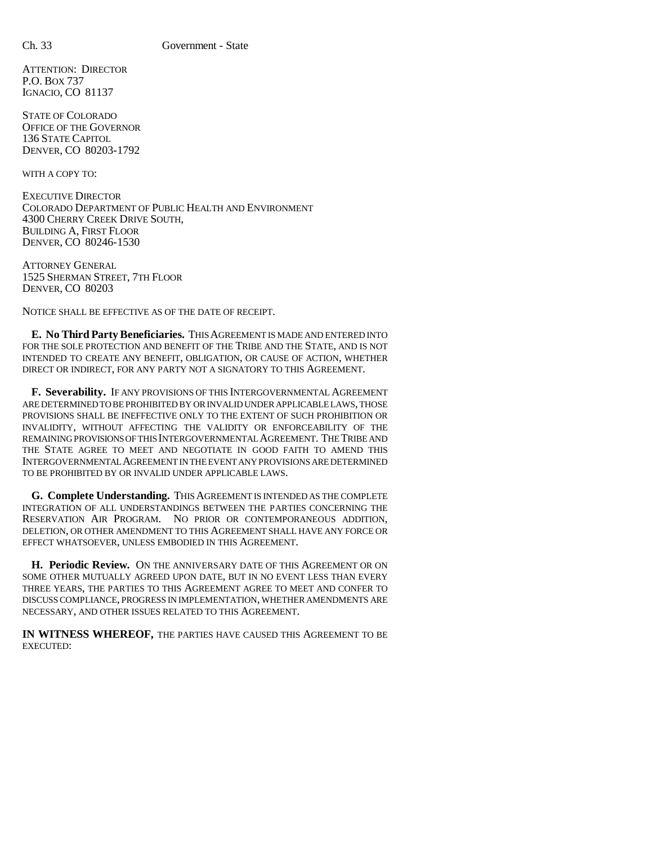ATTENTION: DIRECTOR P.O. BOX 737 IGNACIO, CO 81137

STATE OF COLORADO OFFICE OF THE GOVERNOR 136 STATE CAPITOL DENVER, CO 80203-1792

WITH A COPY TO:

EXECUTIVE DIRECTOR COLORADO DEPARTMENT OF PUBLIC HEALTH AND ENVIRONMENT 4300 CHERRY CREEK DRIVE SOUTH, BUILDING A, FIRST FLOOR DENVER, CO 80246-1530

ATTORNEY GENERAL 1525 SHERMAN STREET, 7TH FLOOR DENVER, CO 80203

NOTICE SHALL BE EFFECTIVE AS OF THE DATE OF RECEIPT.

**E. No Third Party Beneficiaries.** THIS AGREEMENT IS MADE AND ENTERED INTO FOR THE SOLE PROTECTION AND BENEFIT OF THE TRIBE AND THE STATE, AND IS NOT INTENDED TO CREATE ANY BENEFIT, OBLIGATION, OR CAUSE OF ACTION, WHETHER DIRECT OR INDIRECT, FOR ANY PARTY NOT A SIGNATORY TO THIS AGREEMENT.

**F. Severability.** IF ANY PROVISIONS OF THIS INTERGOVERNMENTAL AGREEMENT ARE DETERMINED TO BE PROHIBITED BY OR INVALID UNDER APPLICABLE LAWS, THOSE PROVISIONS SHALL BE INEFFECTIVE ONLY TO THE EXTENT OF SUCH PROHIBITION OR INVALIDITY, WITHOUT AFFECTING THE VALIDITY OR ENFORCEABILITY OF THE REMAINING PROVISIONS OF THIS INTERGOVERNMENTAL AGREEMENT. THE TRIBE AND THE STATE AGREE TO MEET AND NEGOTIATE IN GOOD FAITH TO AMEND THIS INTERGOVERNMENTAL AGREEMENT IN THE EVENT ANY PROVISIONS ARE DETERMINED TO BE PROHIBITED BY OR INVALID UNDER APPLICABLE LAWS.

**G. Complete Understanding.** THIS AGREEMENT IS INTENDED AS THE COMPLETE INTEGRATION OF ALL UNDERSTANDINGS BETWEEN THE PARTIES CONCERNING THE RESERVATION AIR PROGRAM. NO PRIOR OR CONTEMPORANEOUS ADDITION, DELETION, OR OTHER AMENDMENT TO THIS AGREEMENT SHALL HAVE ANY FORCE OR EFFECT WHATSOEVER, UNLESS EMBODIED IN THIS AGREEMENT.

**H. Periodic Review.** ON THE ANNIVERSARY DATE OF THIS AGREEMENT OR ON SOME OTHER MUTUALLY AGREED UPON DATE, BUT IN NO EVENT LESS THAN EVERY THREE YEARS, THE PARTIES TO THIS AGREEMENT AGREE TO MEET AND CONFER TO DISCUSS COMPLIANCE, PROGRESS IN IMPLEMENTATION, WHETHER AMENDMENTS ARE NECESSARY, AND OTHER ISSUES RELATED TO THIS AGREEMENT.

**IN WITNESS WHEREOF,** THE PARTIES HAVE CAUSED THIS AGREEMENT TO BE EXECUTED: